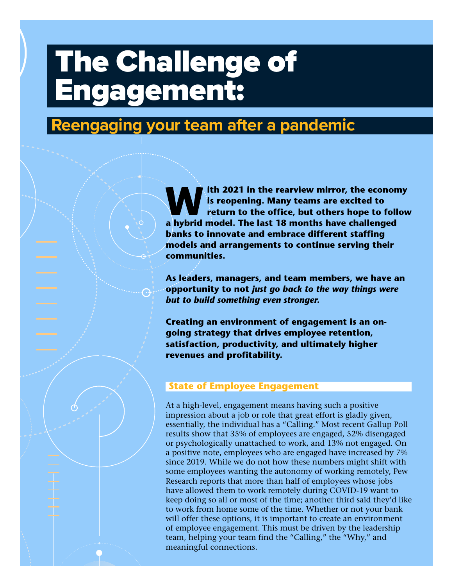# The Challenge of Engagement:

 $\mathbf{1}_{\mathbf{1}_{\mathbf{1}}}$   $\mathbf{1}_{\mathbf{1}_{\mathbf{1}}}$   $\mathbf{1}_{\mathbf{1}_{\mathbf{1}}}$   $\mathbf{1}_{\mathbf{1}_{\mathbf{1}}}$   $\mathbf{1}_{\mathbf{1}_{\mathbf{1}}}$   $\mathbf{1}_{\mathbf{1}_{\mathbf{1}}}$   $\mathbf{1}_{\mathbf{1}_{\mathbf{1}}}$   $\mathbf{1}_{\mathbf{1}_{\mathbf{1}}}$   $\mathbf{1}_{\mathbf{1}_{\mathbf{1}}}$   $\mathbf{1}_{\mathbf{1}_{\mathbf{1}}}$   $\mathbf{1}_{\mathbf{$ 

## **Reengaging your team after a pandemic**

**W** is reopening. Many teams are excited to<br>
return to the office, but others hope to follow<br> **return to the office, but others hope to follow is reopening. Many teams are excited to a hybrid model. The last 18 months have challenged banks to innovate and embrace different staffing models and arrangements to continue serving their communities.** 

**As leaders, managers, and team members, we have an opportunity to not** *just go back to the way things were but to build something even stronger.*

**Creating an environment of engagement is an ongoing strategy that drives employee retention, satisfaction, productivity, and ultimately higher revenues and profitability.** 

#### **State of Employee Engagement**

At a high-level, engagement means having such a positive impression about a job or role that great effort is gladly given, essentially, the individual has a "Calling." Most recent Gallup Poll results show that 35% of employees are engaged, 52% disengaged or psychologically unattached to work, and 13% not engaged. On a positive note, employees who are engaged have increased by 7% since 2019. While we do not how these numbers might shift with some employees wanting the autonomy of working remotely, Pew Research reports that more than half of employees whose jobs have allowed them to work remotely during COVID-19 want to keep doing so all or most of the time; another third said they'd like to work from home some of the time. Whether or not your bank will offer these options, it is important to create an environment of employee engagement. This must be driven by the leadership team, helping your team find the "Calling," the "Why," and meaningful connections.